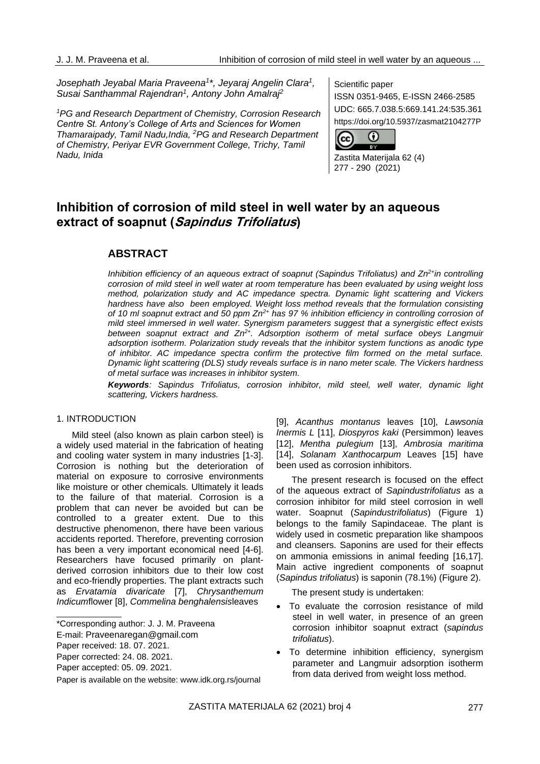*Josephath Jeyabal Maria Praveena<sup>1</sup> \*, Jeyaraj Angelin Clara<sup>1</sup> , Susai Santhammal Rajendran<sup>1</sup> , Antony John Amalraj<sup>2</sup>*

*<sup>1</sup>PG and Research Department of Chemistry, Corrosion Research Centre St. Antony's College of Arts and Sciences for Women Thamaraipady, Tamil Nadu,India, <sup>2</sup>PG and Research Department of Chemistry, Periyar EVR Government College, Trichy, Tamil Nadu, Inida*

Scientific paper

ISSN 0351-9465, E-ISSN 2466-2585 UDC: 665.7.038.5:669.141.24:535.361 https://doi.org/10.5937/zasmat2104277P



Zastita Materijala 62 (4) 277 - 290 (2021)

# **Inhibition of corrosion of mild steel in well water by an aqueous extract of soapnut (Sapindus Trifoliatus)**

## **ABSTRACT**

*Inhibition efficiency of an aqueous extract of soapnut (Sapindus Trifoliatus) and Zn2+in controlling corrosion of mild steel in well water at room temperature has been evaluated by using weight loss method, polarization study and AC impedance spectra. Dynamic light scattering and Vickers hardness have also been employed. Weight loss method reveals that the formulation consisting of 10 ml soapnut extract and 50 ppm Zn2+ has 97 % inhibition efficiency in controlling corrosion of mild steel immersed in well water. Synergism parameters suggest that a synergistic effect exists between soapnut extract and Zn2+. Adsorption isotherm of metal surface obeys Langmuir adsorption isotherm. Polarization study reveals that the inhibitor system functions as anodic type of inhibitor. AC impedance spectra confirm the protective film formed on the metal surface. Dynamic light scattering (DLS) study reveals surface is in nano meter scale. The Vickers hardness of metal surface was increases in inhibitor system.*

*Keywords: Sapindus Trifoliatus, corrosion inhibitor, mild steel, well water, dynamic light scattering, Vickers hardness.*

#### 1. INTRODUCTION

Mild steel (also known as plain carbon steel) is a widely used material in the fabrication of heating and cooling water system in many industries [1-3]. Corrosion is nothing but the deterioration of material on exposure to corrosive environments like moisture or other chemicals. Ultimately it leads to the failure of that material. Corrosion is a problem that can never be avoided but can be controlled to a greater extent. Due to this destructive phenomenon, there have been various accidents reported. Therefore, preventing corrosion has been a very important economical need [4-6]. Researchers have focused primarily on plantderived corrosion inhibitors due to their low cost and eco-friendly properties. The plant extracts such as *Ervatamia divaricate* [7], *Chrysanthemum Indicum*flower [8], *Commelina benghalensis*leaves

[9], *Acanthus montanus* leaves [10], *Lawsonia Inermis L* [11], *Diospyros kaki* (Persimmon) leaves [12], *Mentha pulegium* [13], *Ambrosia maritima* [14], *Solanam Xanthocarpum* Leaves [15] have been used as corrosion inhibitors.

The present research is focused on the effect of the aqueous extract of *Sapindustrifoliatus* as a corrosion inhibitor for mild steel corrosion in well water. Soapnut (*Sapindustrifoliatus*) (Figure 1) belongs to the family Sapindaceae. The plant is widely used in cosmetic preparation like shampoos and cleansers. Saponins are used for their effects on [ammonia](https://en.wikipedia.org/wiki/Ammonia) emissions in animal feeding [16,17]. Main active ingredient components of soapnut (*Sapindus trifoliatus*) is saponin (78.1%) (Figure 2).

The present study is undertaken:

- To evaluate the corrosion resistance of mild steel in well water, in presence of an green corrosion inhibitor soapnut extract (*sapindus trifoliatus*).
- To determine inhibition efficiency, synergism parameter and Langmuir adsorption isotherm from data derived from weight loss method.

<sup>\*</sup>Corresponding author: J. J. M. Praveena

E-mail: [Praveenaregan@gmail.com](mailto:Praveenaregan@gmail.com)

Paper received: 18. 07. 2021.

Paper corrected: 24. 08. 2021.

Paper accepted: 05. 09. 2021.

Paper is available on the website: [www.idk.org.rs/journal](http://www.idk.org.rs/journal)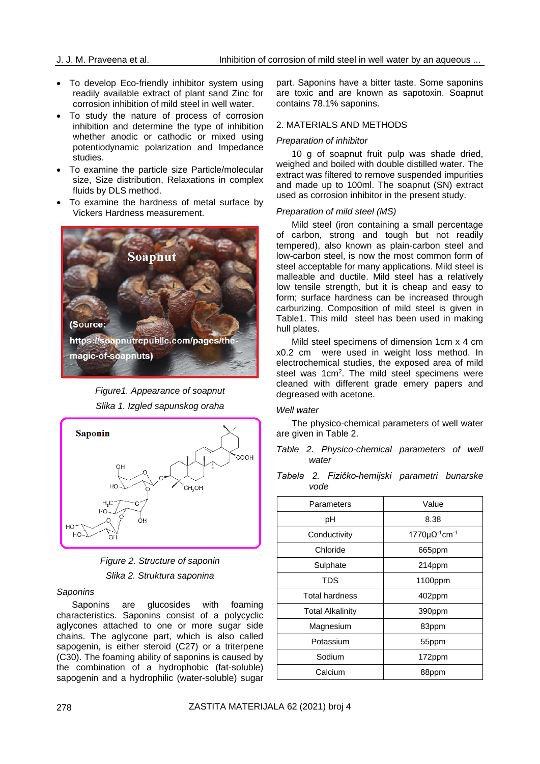- To develop Eco-friendly inhibitor system using readily available extract of plant sand Zinc for corrosion inhibition of mild steel in well water.
- To study the nature of process of corrosion inhibition and determine the type of inhibition whether anodic or cathodic or mixed using potentiodynamic polarization and Impedance studies.
- To examine the particle size Particle/molecular size, Size distribution, Relaxations in complex fluids by DLS method.
- To examine the hardness of metal surface by Vickers Hardness measurement.



*Figure1. Appearance of soapnut Slika 1. Izgled sapunskog oraha*





*Slika 2. Struktura saponina*

## *Saponins*

Saponins are glucosides with foaming characteristics. Saponins consist of a polycyclic aglycones attached to one or more sugar side chains. The aglycone part, which is also called sapogenin, is either steroid (C27) or a triterpene (C30). The foaming ability of saponins is caused by the combination of a hydrophobic (fat-soluble) sapogenin and a hydrophilic (water-soluble) sugar part. Saponins have a bitter taste. Some saponins are toxic and are known as sapotoxin. Soapnut contains 78.1% saponins.

## 2. MATERIALS AND METHODS

## *Preparation of inhibitor*

10 g of soapnut fruit pulp was shade dried, weighed and boiled with double distilled water. The extract was filtered to remove suspended impurities and made up to 100ml. The soapnut (SN) extract used as corrosion inhibitor in the present study.

## *Preparation of mild steel (MS)*

Mild steel (iron containing a small percentage of carbon, strong and tough but not readily tempered), also known as plain-carbon steel and low-carbon steel, is now the most common form of steel acceptable for many applications. Mild steel is malleable and ductile. Mild steel has a relatively low tensile strength, but it is cheap and easy to form; surface hardness can be increased through [carburizing.](https://en.wikipedia.org/wiki/Carburization) Composition of mild steel is given in Table1. This mild steel has been used in making hull plates.

Mild steel specimens of dimension 1cm x 4 cm x0.2 cm were used in weight loss method. In electrochemical studies, the exposed area of mild steel was 1cm<sup>2</sup>. The mild steel specimens were cleaned with different grade emery papers and degreased with acetone.

## *Well water*

The physico-chemical parameters of well water are given in Table 2.

*Table 2. Physico-chemical parameters of well water*

*Tabela 2. Fizičko-hemijski parametri bunarske vode*

| Parameters              | Value                                           |
|-------------------------|-------------------------------------------------|
| рH                      | 8.38                                            |
| Conductivity            | 1770 $\mu\Omega$ <sup>-1</sup> cm <sup>-1</sup> |
| Chloride                | 665ppm                                          |
| Sulphate                | 214ppm                                          |
| TDS                     | 1100ppm                                         |
| Total hardness          | 402ppm                                          |
| <b>Total Alkalinity</b> | 390ppm                                          |
| Magnesium               | 83ppm                                           |
| Potassium               | 55ppm                                           |
| Sodium                  | 172ppm                                          |
| Calcium                 | 88ppm                                           |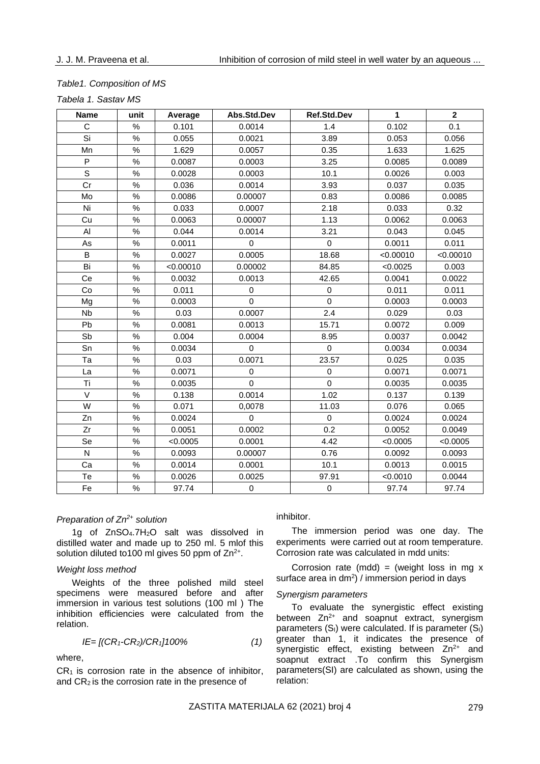## *Table1. Composition of MS*

|  |  |  | Tabela 1. Sastav MS |  |
|--|--|--|---------------------|--|
|--|--|--|---------------------|--|

| Name      | unit | Average   | Abs.Std.Dev | Ref.Std.Dev | $\mathbf{1}$ | $\mathbf 2$ |
|-----------|------|-----------|-------------|-------------|--------------|-------------|
| C         | $\%$ | 0.101     | 0.0014      | 1.4         | 0.102        | 0.1         |
| Si        | $\%$ | 0.055     | 0.0021      | 3.89        | 0.053        | 0.056       |
| Mn        | $\%$ | 1.629     | 0.0057      | 0.35        | 1.633        | 1.625       |
| P         | $\%$ | 0.0087    | 0.0003      | 3.25        | 0.0085       | 0.0089      |
| S         | %    | 0.0028    | 0.0003      | 10.1        | 0.0026       | 0.003       |
| Cr        | $\%$ | 0.036     | 0.0014      | 3.93        | 0.037        | 0.035       |
| Mo        | $\%$ | 0.0086    | 0.00007     | 0.83        | 0.0086       | 0.0085      |
| Ni        | $\%$ | 0.033     | 0.0007      | 2.18        | 0.033        | 0.32        |
| Cu        | $\%$ | 0.0063    | 0.00007     | 1.13        | 0.0062       | 0.0063      |
| AI        | $\%$ | 0.044     | 0.0014      | 3.21        | 0.043        | 0.045       |
| As        | $\%$ | 0.0011    | $\pmb{0}$   | $\pmb{0}$   | 0.0011       | 0.011       |
| B         | $\%$ | 0.0027    | 0.0005      | 18.68       | < 0.00010    | < 0.00010   |
| Bi        | $\%$ | < 0.00010 | 0.00002     | 84.85       | < 0.0025     | 0.003       |
| Ce        | $\%$ | 0.0032    | 0.0013      | 42.65       | 0.0041       | 0.0022      |
| Co        | $\%$ | 0.011     | 0           | 0           | 0.011        | 0.011       |
| Mg        | $\%$ | 0.0003    | $\mathbf 0$ | $\mathbf 0$ | 0.0003       | 0.0003      |
| <b>Nb</b> | $\%$ | 0.03      | 0.0007      | 2.4         | 0.029        | 0.03        |
| Pb        | $\%$ | 0.0081    | 0.0013      | 15.71       | 0.0072       | 0.009       |
| Sb        | $\%$ | 0.004     | 0.0004      | 8.95        | 0.0037       | 0.0042      |
| Sn        | $\%$ | 0.0034    | $\mathbf 0$ | $\mathbf 0$ | 0.0034       | 0.0034      |
| Ta        | $\%$ | 0.03      | 0.0071      | 23.57       | 0.025        | 0.035       |
| La        | $\%$ | 0.0071    | 0           | 0           | 0.0071       | 0.0071      |
| Ti        | $\%$ | 0.0035    | $\mathbf 0$ | $\mathbf 0$ | 0.0035       | 0.0035      |
| $\vee$    | $\%$ | 0.138     | 0.0014      | 1.02        | 0.137        | 0.139       |
| W         | $\%$ | 0.071     | 0,0078      | 11.03       | 0.076        | 0.065       |
| Zn        | $\%$ | 0.0024    | $\mathbf 0$ | 0           | 0.0024       | 0.0024      |
| Zr        | $\%$ | 0.0051    | 0.0002      | 0.2         | 0.0052       | 0.0049      |
| Se        | $\%$ | < 0.0005  | 0.0001      | 4.42        | < 0.0005     | < 0.0005    |
| ${\sf N}$ | $\%$ | 0.0093    | 0.00007     | 0.76        | 0.0092       | 0.0093      |
| Ca        | $\%$ | 0.0014    | 0.0001      | 10.1        | 0.0013       | 0.0015      |
| Te        | $\%$ | 0.0026    | 0.0025      | 97.91       | < 0.0010     | 0.0044      |
| Fe        | $\%$ | 97.74     | $\mathbf 0$ | 0           | 97.74        | 97.74       |

#### *Preparation of Zn2+ solution*

1g of ZnSO4.7H2O salt was dissolved in distilled water and made up to 250 ml. 5 mlof this solution diluted to100 ml gives 50 ppm of  $Zn^{2+}$ .

## *Weight loss method*

Weights of the three polished mild steel specimens were measured before and after immersion in various test solutions (100 ml ) The inhibition efficiencies were calculated from the relation.

$$
IE = [(CR_1 - CR_2)/CR_1]100\%
$$
 (1)

where,

 $CR<sub>1</sub>$  is corrosion rate in the absence of inhibitor, and CR<sup>2</sup> is the corrosion rate in the presence of

## inhibitor.

The immersion period was one day. The experiments were carried out at room temperature. Corrosion rate was calculated in mdd units:

Corrosion rate (mdd) = (weight loss in mg  $x$ surface area in  $dm^2$ ) / immersion period in days

#### *Synergism parameters*

To evaluate the synergistic effect existing between  $Zn^{2+}$  and soapnut extract, synergism parameters  $(S<sub>1</sub>)$  were calculated. If is parameter  $(S<sub>1</sub>)$ greater than 1, it indicates the presence of synergistic effect, existing between Zn<sup>2+</sup> and soapnut extract .To confirm this Synergism parameters(SI) are calculated as shown, using the relation: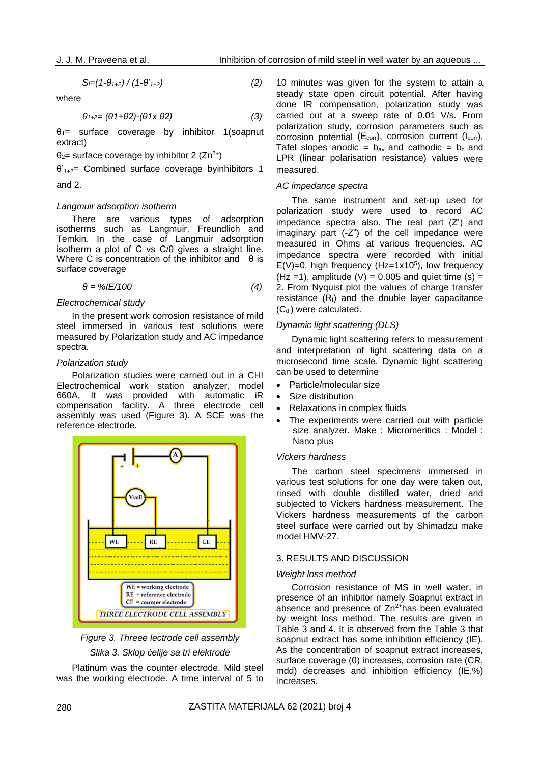$$
S_{I}=(1-\theta_{1+2})/(1-\theta_{1+2})
$$
\n(2)

where

$$
\theta_{1+2} = (\theta 1 + \theta 2) - (\theta 1 \times \theta 2) \tag{3}
$$

 $\theta_1$ = surface coverage by inhibitor 1(soapnut extract)

 $θ<sub>2</sub>$  surface coverage by inhibitor 2 (Zn<sup>2+</sup>)

θ'1+2= Combined surface coverage byinhibitors 1

# and 2.

#### *Langmuir adsorption isotherm*

There are various types of adsorption isotherms such as Langmuir, Freundlich and Temkin. In the case of Langmuir adsorption isotherm a plot of C vs C/θ gives a straight line. Where C is concentration of the inhibitor and  $\theta$  is surface coverage

$$
\theta = \%IE/100 \tag{4}
$$

#### *Electrochemical study*

In the present work corrosion resistance of mild steel immersed in various test solutions were measured by Polarization study and AC impedance spectra.

#### *Polarization study*

Polarization studies were carried out in a CHI Electrochemical work station analyzer, model 660A. It was provided with automatic iR compensation facility. A three electrode cell assembly was used (Figure 3). A SCE was the reference electrode.



*Figure 3. Threee lectrode cell assembly Slika 3. Sklop ćelije sa tri elektrode*

Platinum was the counter electrode. Mild steel was the working electrode. A time interval of 5 to

10 minutes was given for the system to attain a steady state open circuit potential. After having done IR compensation, polarization study was carried out at a sweep rate of 0.01 V/s. From polarization study, corrosion parameters such as corrosion potential ( $E_{corr}$ ), corrosion current ( $I_{corr}$ ), Tafel slopes anodic =  $b_{av}$  and cathodic =  $b_c$  and LPR (linear polarisation resistance) values were measured.

#### *AC impedance spectra*

The same instrument and set-up used for polarization study were used to record AC impedance spectra also. The real part (Z') and imaginary part (-Z") of the cell impedance were measured in Ohms at various frequencies. AC impedance spectra were recorded with initial  $E(V)=0$ , high frequency (Hz=1x10<sup>5</sup>), low frequency  $(Hz = 1)$ , amplitude  $(V) = 0.005$  and quiet time  $(s) =$ 2. From Nyquist plot the values of charge transfer resistance  $(R<sub>t</sub>)$  and the double layer capacitance (C<sub>dl</sub>) were calculated.

#### *Dynamic light scattering (DLS)*

Dynamic light scattering refers to measurement and interpretation of light scattering data on a microsecond time scale. Dynamic light scattering can be used to determine

- Particle/molecular size
- Size distribution
- Relaxations in complex fluids
- The experiments were carried out with particle size analyzer. Make : Micromeritics : Model : Nano plus

### *Vickers hardness*

The carbon steel specimens immersed in various test solutions for one day were taken out, rinsed with double distilled water, dried and subjected to Vickers hardness measurement. The Vickers hardness measurements of the carbon steel surface were carried out by Shimadzu make model HMV-27.

#### 3. RESULTS AND DISCUSSION

#### *Weight loss method*

Corrosion resistance of MS in well water, in presence of an inhibitor namely Soapnut extract in absence and presence of  $Zn^{2+}$ has been evaluated by weight loss method. The results are given in Table 3 and 4. It is observed from the Table 3 that soapnut extract has some inhibition efficiency (IE). As the concentration of soapnut extract increases, surface coverage (θ) increases, corrosion rate (CR, mdd) decreases and inhibition efficiency (IE,%) increases.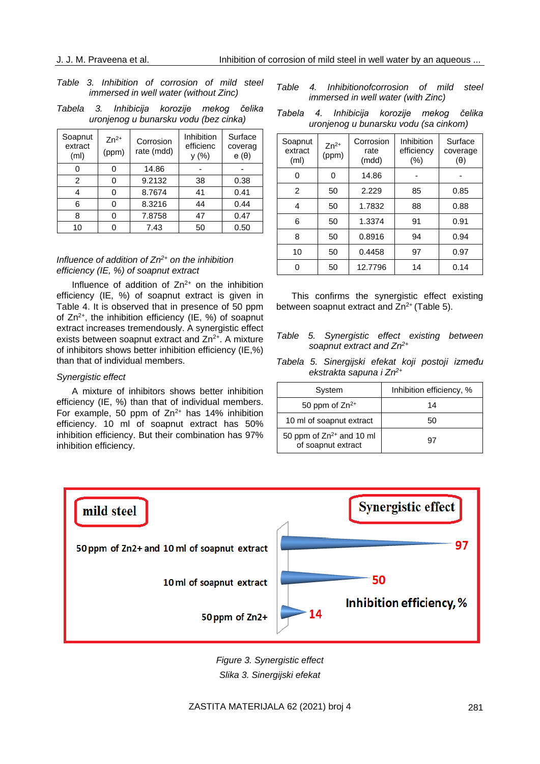## *Table 3. Inhibition of corrosion of mild steel immersed in well water (without Zinc)*

*Tabela 3. Inhibicija korozije mekog čelika uronjenog u bunarsku vodu (bez cinka)*

| Soapnut<br>extract<br>(m <sub>l</sub> ) | $Zn^{2+}$<br>(ppm) | Corrosion<br>rate (mdd) | <b>Inhibition</b><br>efficienc<br>y(% ) | Surface<br>coverag<br>$e(\theta)$ |
|-----------------------------------------|--------------------|-------------------------|-----------------------------------------|-----------------------------------|
|                                         |                    | 14.86                   |                                         |                                   |
| 2                                       |                    | 9.2132                  | 38                                      | 0.38                              |
| 4                                       | O                  | 8.7674                  | 41                                      | 0.41                              |
| 6                                       |                    | 8.3216                  | 44                                      | 0.44                              |
| 8                                       |                    | 7.8758                  | 47                                      | 0.47                              |
| 10                                      |                    | 7.43                    | 50                                      | 0.50                              |

## *Influence of addition of Zn2+ on the inhibition efficiency (IE, %) of soapnut extract*

Influence of addition of  $Zn^{2+}$  on the inhibition efficiency (IE, %) of soapnut extract is given in Table 4. It is observed that in presence of 50 ppm of  $Zn^{2+}$ , the inhibition efficiency (IE, %) of soapnut extract increases tremendously. A synergistic effect exists between soapnut extract and  $Zn^{2+}$ . A mixture of inhibitors shows better inhibition efficiency (IE,%) than that of individual members.

#### *Synergistic effect*

A mixture of inhibitors shows better inhibition efficiency (IE, %) than that of individual members. For example, 50 ppm of  $Zn^{2+}$  has 14% inhibition efficiency. 10 ml of soapnut extract has 50% inhibition efficiency. But their combination has 97% inhibition efficiency.

*Table 4. Inhibitionofcorrosion of mild steel immersed in well water (with Zinc)*

| Tabela | 4. | Inhibicija korozije mekog čelika      |  |  |
|--------|----|---------------------------------------|--|--|
|        |    | uronjenog u bunarsku vodu (sa cinkom) |  |  |

| Soapnut<br>extract<br>(ml) | $Zn^{2+}$<br>(ppm) | Corrosion<br>rate<br>(mdd) | Inhibition<br>efficiency<br>(%) | Surface<br>coverage<br>(θ) |
|----------------------------|--------------------|----------------------------|---------------------------------|----------------------------|
| 0                          | 0                  | 14.86                      |                                 |                            |
| $\mathcal{P}$              | 50                 | 2.229                      | 85                              | 0.85                       |
| 4                          | 50                 | 1.7832                     | 88                              | 0.88                       |
| 6                          | 50                 | 1.3374                     | 91                              | 0.91                       |
| 8                          | 50                 | 0.8916                     | 94                              | 0.94                       |
| 10                         | 50                 | 0.4458                     | 97                              | 0.97                       |
|                            | 50                 | 12.7796                    | 14                              | 0.14                       |

This confirms the synergistic effect existing between soapnut extract and  $Zn^{2+}$  (Table 5).

- *Table 5. Synergistic effect existing between soapnut extract and Zn2+*
- *Tabela 5. Sinergijski efekat koji postoji između ekstrakta sapuna i Zn2+*

| System                                              | Inhibition efficiency, % |
|-----------------------------------------------------|--------------------------|
| 50 ppm of $Zn^{2+}$                                 | 14                       |
| 10 ml of soapnut extract                            | 50                       |
| 50 ppm of $Zn^{2+}$ and 10 ml<br>of soapnut extract | 97                       |



*Figure 3. Synergistic effect Slika 3. Sinergijski efekat*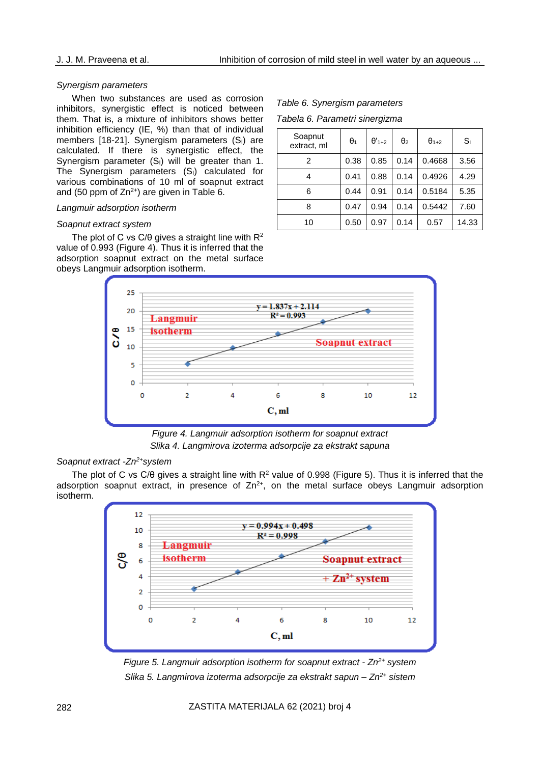#### *Synergism parameters*

When two substances are used as corrosion inhibitors, synergistic effect is noticed between them. That is, a mixture of inhibitors shows better inhibition efficiency (IE, %) than that of individual members [18-21]. Synergism parameters  $(S<sub>1</sub>)$  are calculated. If there is synergistic effect, the Synergism parameter (S<sub>I</sub>) will be greater than 1. The Synergism parameters  $(S<sub>1</sub>)$  calculated for various combinations of 10 ml of soapnut extract and (50 ppm of  $Zn^{2+}$ ) are given in Table 6.

## *Langmuir adsorption isotherm*

### *Soapnut extract system*

The plot of C vs  $C/\theta$  gives a straight line with  $R^2$ value of 0.993 (Figure 4). Thus it is inferred that the adsorption soapnut extract on the metal surface obeys Langmuir adsorption isotherm.

*Table 6. Synergism parameters Tabela 6. Parametri sinergizma*

| Soapnut<br>extract, ml | $\theta_1$ | $\theta'_{1+2}$ | $\theta_2$ | $\theta_{1+2}$ | $S_{1}$ |
|------------------------|------------|-----------------|------------|----------------|---------|
| 2                      | 0.38       | 0.85            | 0.14       | 0.4668         | 3.56    |
| 4                      | 0.41       | 0.88            | 0.14       | 0.4926         | 4.29    |
| 6                      | 0.44       | 0.91            | 0.14       | 0.5184         | 5.35    |
| 8                      | 0.47       | 0.94            | 0.14       | 0.5442         | 7.60    |
| 10                     | 0.50       | 0.97            | 0.14       | 0.57           | 14.33   |



*Figure 4. Langmuir adsorption isotherm for soapnut extract Slika 4. Langmirova izoterma adsorpcije za ekstrakt sapuna*

## *Soapnut extract -Zn2+system*

The plot of C vs C/ $\theta$  gives a straight line with  $R^2$  value of 0.998 (Figure 5). Thus it is inferred that the adsorption soapnut extract, in presence of  $Zn^{2+}$ , on the metal surface obeys Langmuir adsorption isotherm.



*Figure 5. Langmuir adsorption isotherm for soapnut extract - Zn2+ system Slika 5. Langmirova izoterma adsorpcije za ekstrakt sapun – Zn2+ sistem*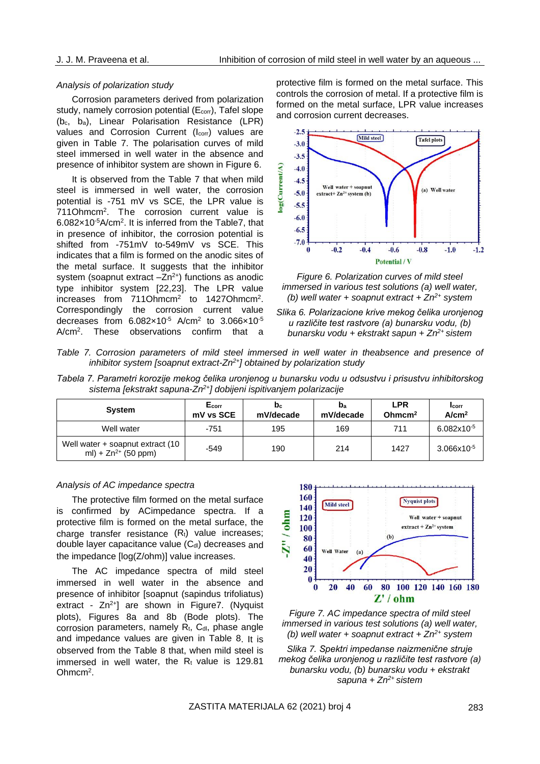## *Analysis of polarization study*

Corrosion parameters derived from polarization study, namely corrosion potential (E<sub>corr</sub>), Tafel slope (bc, ba), Linear Polarisation Resistance (LPR) values and Corrosion Current (I<sub>corr</sub>) values are given in Table 7. The polarisation curves of mild steel immersed in well water in the absence and presence of inhibitor system are shown in Figure 6.

It is observed from the Table 7 that when mild steel is immersed in well water, the corrosion potential is -751 mV vs SCE, the LPR value is 711Ohmcm<sup>2</sup>. The corrosion current value is  $6.082\times10^{-5}$ A/cm<sup>2</sup>. It is inferred from the Table7, that in presence of inhibitor, the corrosion potential is shifted from -751mV to-549mV vs SCE. This indicates that a film is formed on the anodic sites of the metal surface. It suggests that the inhibitor system (soapnut extract  $-Zn^{2+}$ ) functions as anodic type inhibitor system [22,23]. The LPR value increases from 711Ohmcm<sup>2</sup> to 1427Ohmcm<sup>2</sup>. Correspondingly the corrosion current value decreases from  $6.082\times10^{5}$  A/cm<sup>2</sup> to  $3.066\times10^{5}$  $A/cm<sup>2</sup>$ . These observations confirm that a

protective film is formed on the metal surface. This controls the corrosion of metal. If a protective film is formed on the metal surface, LPR value increases and corrosion current decreases.



*Figure 6. Polarization curves of mild steel immersed in various test solutions (a) well water, (b) well water + soapnut extract + Zn2+ system*



*Table 7. Corrosion parameters of mild steel immersed in well water in theabsence and presence of inhibitor system [soapnut extract-Zn2+] obtained by polarization study*

| Tabela 7. Parametri korozije mekog čelika uronjenog u bunarsku vodu u odsustvu i prisustvu inhibitorskog |                                                                                |  |  |  |  |
|----------------------------------------------------------------------------------------------------------|--------------------------------------------------------------------------------|--|--|--|--|
|                                                                                                          | sistema [ekstrakt sapuna-Zn <sup>2+</sup> ] dobijeni ispitivanjem polarizacije |  |  |  |  |

| <b>System</b>                                                | Ecorr<br>mV vs SCE | b <sub>c</sub><br>mV/decade | $\mathbf{b}_a$<br>mV/decade | <b>LPR</b><br>Ohmcm <sup>2</sup> | <b>I</b> corr<br>Alcm <sup>2</sup> |
|--------------------------------------------------------------|--------------------|-----------------------------|-----------------------------|----------------------------------|------------------------------------|
| Well water                                                   | -751               | 195                         | 169                         | 711                              | $6.082x10^{-5}$                    |
| Well water + soapnut extract (10<br>ml) + $Zn^{2+}$ (50 ppm) | -549               | 190                         | 214                         | 1427                             | $3.066x10^{-5}$                    |

## *Analysis of AC impedance spectra*

The protective film formed on the metal surface is confirmed by ACimpedance spectra. If a protective film is formed on the metal surface, the charge transfer resistance  $(R_t)$  value increases; double layer capacitance value (Cdl) decreases and the impedance [log(Z/ohm)] value increases.

The AC impedance spectra of mild steel immersed in well water in the absence and presence of inhibitor [soapnut (sapindus trifoliatus) extract -  $Zn^{2+}$ ] are shown in Figure7. (Nyquist plots), Figures 8a and 8b (Bode plots). The corrosion parameters, namely  $R_t$ ,  $C_{dl}$ , phase angle and impedance values are given in Table 8. It is observed from the Table 8 that, when mild steel is immersed in well water, the  $R_t$  value is 129.81  $Ohmcm<sup>2</sup>$ .





*Slika 7. Spektri impedanse naizmenične struje mekog čelika uronjenog u različite test rastvore (a) bunarsku vodu, (b) bunarsku vodu + ekstrakt sapuna + Zn2+ sistem*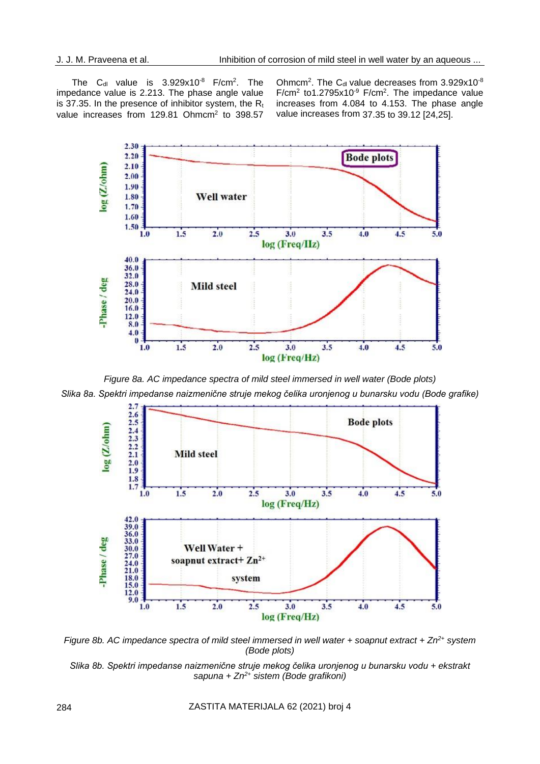The C<sub>dl</sub> value is  $3.929x10^{-8}$  F/cm<sup>2</sup>. The impedance value is 2.213. The phase angle value is 37.35. In the presence of inhibitor system, the  $R_t$ value increases from 129.81 Ohmcm<sup>2</sup> to 398.57

Ohmcm<sup>2</sup>. The C<sub>dl</sub> value decreases from  $3.929x10^{-8}$  $F/cm<sup>2</sup>$  to1.2795x10<sup>-9</sup>  $F/cm<sup>2</sup>$ . The impedance value increases from 4.084 to 4.153. The phase angle value increases from 37.35 to 39.12 [24,25].



*Figure 8a. AC impedance spectra of mild steel immersed in well water (Bode plots) Slika 8a. Spektri impedanse naizmenične struje mekog čelika uronjenog u bunarsku vodu (Bode grafike)*



*Figure 8b. AC impedance spectra of mild steel immersed in well water + soapnut extract + Zn2+ system (Bode plots)*

*Slika 8b. Spektri impedanse naizmenične struje mekog čelika uronjenog u bunarsku vodu + ekstrakt sapuna + Zn2+ sistem (Bode grafikoni)*

284 ZASTITA MATERIJALA 62 (2021) broj 4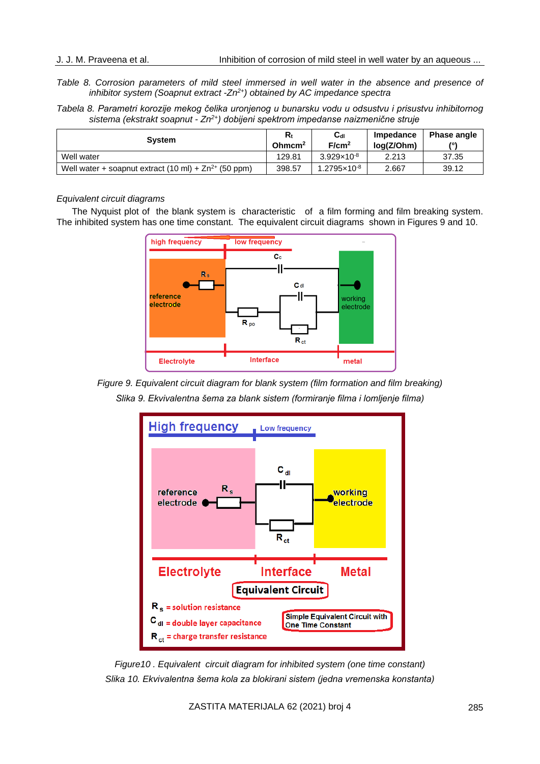*Table 8. Corrosion parameters of mild steel immersed in well water in the absence and presence of inhibitor system (Soapnut extract -Zn2+) obtained by AC impedance spectra*

*Tabela 8. Parametri korozije mekog čelika uronjenog u bunarsku vodu u odsustvu i prisustvu inhibitornog sistema (ekstrakt soapnut - Zn2+) dobijeni spektrom impedanse naizmenične struje*

| <b>System</b>                                                     | Rt<br>Ohmcm <sup>2</sup> | $\mathbf{C}_{\mathsf{dl}}$<br>F/cm <sup>2</sup> | Impedance<br>log(Z/Ohm) | Phase angle<br>/۰۱ |
|-------------------------------------------------------------------|--------------------------|-------------------------------------------------|-------------------------|--------------------|
| Well water                                                        | 129.81                   | $3.929 \times 10^{-8}$                          | 2.213                   | 37.35              |
| Well water + soapnut extract $(10 \text{ ml}) + Zn^{2+}$ (50 ppm) | 398.57                   | 1.2795×10 <sup>-8</sup>                         | 2.667                   | 39.12              |

#### *Equivalent circuit diagrams*

The Nyquist plot of the blank system is characteristic of a film forming and film breaking system. The inhibited system has one time constant. The equivalent circuit diagrams shown in Figures 9 and 10.



*Figure 9. Equivalent circuit diagram for blank system (film formation and film breaking) Slika 9. Ekvivalentna šema za blank sistem (formiranje filma i lomljenje filma)*



*Figure10 . Equivalent circuit diagram for inhibited system (one time constant) Slika 10. Ekvivalentna šema kola za blokirani sistem (jedna vremenska konstanta)*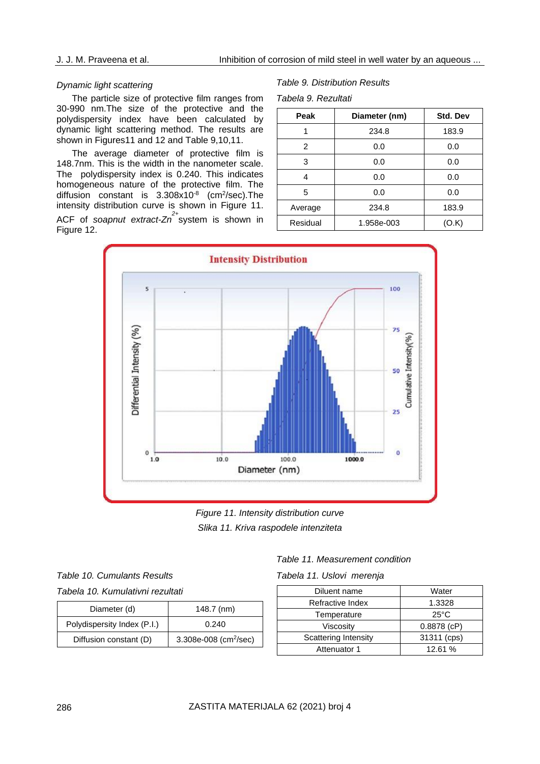## *Dynamic light scattering*

The particle size of protective film ranges from 30-990 nm.The size of the protective and the polydispersity index have been calculated by dynamic light scattering method. The results are shown in Figures11 and 12 and Table 9,10,11.

The average diameter of protective film is 148.7nm. This is the width in the nanometer scale. The polydispersity index is 0.240. This indicates homogeneous nature of the protective film. The diffusion constant is 3.308x10<sup>-8</sup> (cm<sup>2</sup>/sec). The intensity distribution curve is shown in Figure 11. ACF of *soapnut extract-Zn 2+* system is shown in Figure 12.

#### *Table 9. Distribution Results*

*Tabela 9. Rezultati*

| Peak     | Diameter (nm) | <b>Std. Dev</b> |
|----------|---------------|-----------------|
|          | 234.8         | 183.9           |
| 2        | 0.0           | 0.0             |
| 3        | 0.0           | 0.0             |
| 4        | 0.0           | 0.0             |
| 5        | 0.0           | 0.0             |
| Average  | 234.8         | 183.9           |
| Residual | 1.958e-003    | 'O.K)           |



*Figure 11. Intensity distribution curve Slika 11. Kriva raspodele intenziteta*

*Table 10. Cumulants Results Tabela 10. Kumulativni rezultati*

| Diameter (d)                | $148.7$ (nm)                      |  |
|-----------------------------|-----------------------------------|--|
| Polydispersity Index (P.I.) | 0.240                             |  |
| Diffusion constant (D)      | 3.308e-008 (cm <sup>2</sup> /sec) |  |

| Table 11. Measurement condition |  |  |  |  |  |
|---------------------------------|--|--|--|--|--|
| Tabela 11. Uslovi merenja       |  |  |  |  |  |

| Diluent name                | Water          |  |  |
|-----------------------------|----------------|--|--|
| Refractive Index            | 1.3328         |  |  |
| Temperature                 | $25^{\circ}$ C |  |  |
| Viscosity                   | $0.8878$ (cP)  |  |  |
| <b>Scattering Intensity</b> | 31311 (cps)    |  |  |
| Attenuator 1                | 12.61 %        |  |  |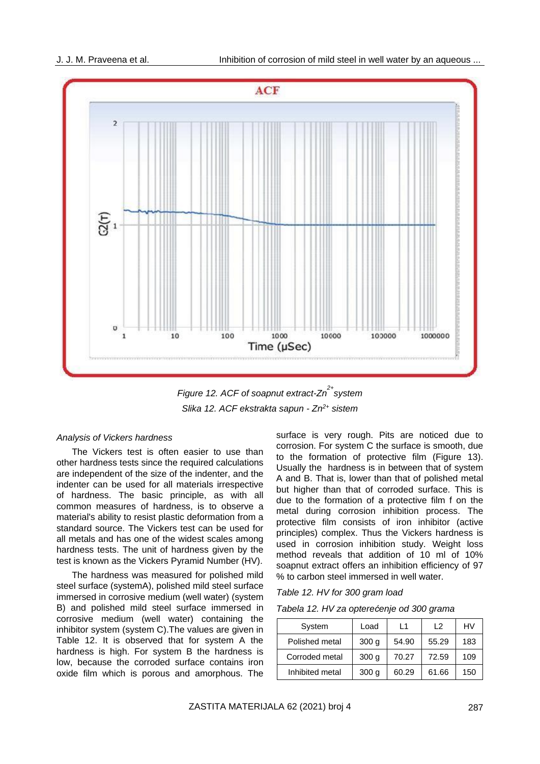

*Figure 12. ACF of soapnut extract-Zn 2+ system Slika 12. ACF ekstrakta sapun - Zn2+ sistem*

#### *Analysis of Vickers hardness*

The Vickers test is often easier to use than other hardness tests since the required calculations are independent of the size of the indenter, and the indenter can be used for all materials irrespective of hardness. The basic principle, as with all common measures of hardness, is to observe a material's ability to resist [plastic](https://en.wikipedia.org/wiki/Plastic_deformation) [deformation f](https://en.wikipedia.org/wiki/Plastic_deformation)rom a standard source. The Vickers test can be used for all [metals a](https://en.wikipedia.org/wiki/Metal)nd has one of the widest scales among hardness tests. The unit of hardness given by the test is known as the Vickers Pyramid Number (HV).

The hardness was measured for polished mild steel surface (systemA), polished mild steel surface immersed in corrosive medium (well water) (system B) and polished mild steel surface immersed in corrosive medium (well water) containing the inhibitor system (system C).The values are given in Table 12. It is observed that for system A the hardness is high. For system B the hardness is low, because the corroded surface contains iron oxide film which is porous and amorphous. The

surface is very rough. Pits are noticed due to corrosion. For system C the surface is smooth, due to the formation of protective film (Figure 13). Usually the hardness is in between that of system A and B. That is, lower than that of polished metal but higher than that of corroded surface. This is due to the formation of a protective film f on the metal during corrosion inhibition process. The protective film consists of iron inhibitor (active principles) complex. Thus the Vickers hardness is used in corrosion inhibition study. Weight loss method reveals that addition of 10 ml of 10% soapnut extract offers an inhibition efficiency of 97 % to carbon steel immersed in well water.

#### *Table 12. HV for 300 gram load*

*Tabela 12. HV za opterećenje od 300 grama* 

| System          | Load             | L1    | $\sqrt{2}$ | HV  |
|-----------------|------------------|-------|------------|-----|
| Polished metal  | 300 <sub>q</sub> | 54.90 | 55.29      | 183 |
| Corroded metal  | 300 <sub>q</sub> | 70.27 | 72.59      | 109 |
| Inhibited metal | 300q             | 60.29 | 61.66      | 150 |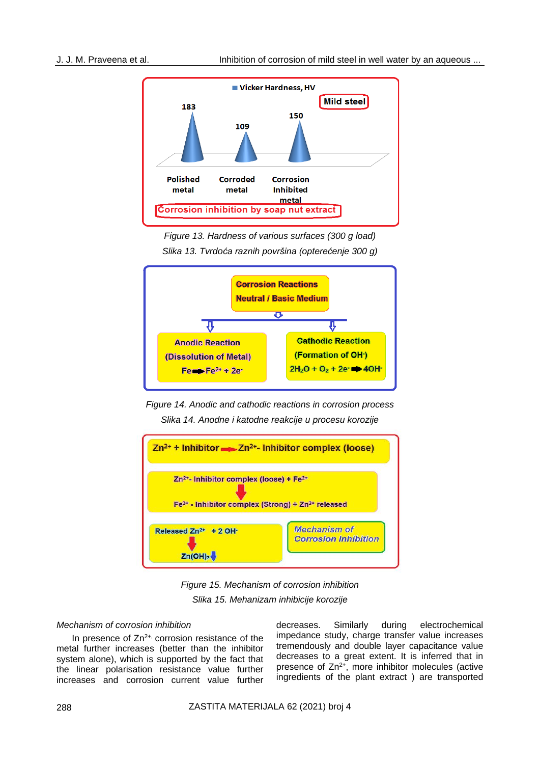

*Figure 13. Hardness of various surfaces (300 g load) Slika 13. Tvrdoća raznih površina (opterećenje 300 g)*



*Figure 14. Anodic and cathodic reactions in corrosion process Slika 14. Anodne i katodne reakcije u procesu korozije*



*Figure 15. Mechanism of corrosion inhibition Slika 15. Mehanizam inhibicije korozije*

## *Mechanism of corrosion inhibition*

In presence of  $Zn^{2+}$ , corrosion resistance of the metal further increases (better than the inhibitor system alone), which is supported by the fact that the linear polarisation resistance value further increases and corrosion current value further

decreases. Similarly during electrochemical impedance study, charge transfer value increases tremendously and double layer capacitance value decreases to a great extent. It is inferred that in presence of  $Zn^{2+}$ , more inhibitor molecules (active ingredients of the plant extract ) are transported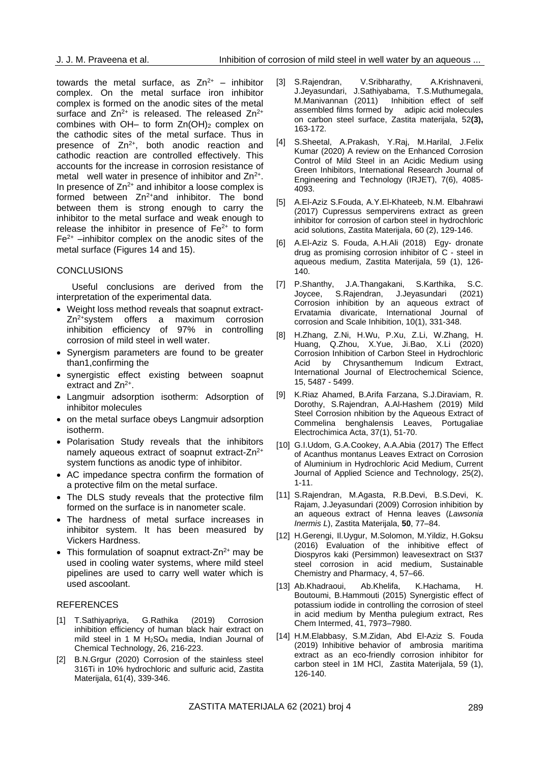towards the metal surface, as  $Zn^{2+}$  – inhibitor complex. On the metal surface iron inhibitor complex is formed on the anodic sites of the metal surface and  $Zn^{2+}$  is released. The released  $Zn^{2+}$ combines with  $OH-$  to form  $Zn(OH)_2$  complex on the cathodic sites of the metal surface. Thus in presence of  $Zn^{2+}$ , both anodic reaction and cathodic reaction are controlled effectively. This accounts for the increase in corrosion resistance of metal well water in presence of inhibitor and  $Zn^{2+}$ . In presence of  $Zn^{2+}$  and inhibitor a loose complex is formed between Zn<sup>2+</sup>and inhibitor. The bond between them is strong enough to carry the inhibitor to the metal surface and weak enough to release the inhibitor in presence of  $Fe<sup>2+</sup>$  to form  $Fe<sup>2+</sup>$  –inhibitor complex on the anodic sites of the metal surface (Figures 14 and 15).

## **CONCLUSIONS**

Useful conclusions are derived from the interpretation of the experimental data.

- Weight loss method reveals that soapnut extract- $Zn^{2+}$ system offers a maximum corrosion inhibition efficiency of 97% in controlling corrosion of mild steel in well water.
- Synergism parameters are found to be greater than1,confirming the
- synergistic effect existing between soapnut extract and Zn<sup>2+</sup>.
- Langmuir adsorption isotherm: Adsorption of inhibitor molecules
- on the metal surface obeys Langmuir adsorption isotherm.
- Polarisation Study reveals that the inhibitors namely aqueous extract of soapnut extract-Zn<sup>2+</sup> system functions as anodic type of inhibitor.
- AC impedance spectra confirm the formation of a protective film on the metal surface.
- The DLS study reveals that the protective film formed on the surface is in nanometer scale.
- The hardness of metal surface increases in inhibitor system. It has been measured by Vickers Hardness.
- This formulation of soapnut extract- $Zn^{2+}$  may be used in cooling water systems, where mild steel pipelines are used to carry well water which is used ascoolant.

## REFERENCES

- [1] T.Sathiyapriya, G.Rathika (2019) Corrosion inhibition efficiency of human black hair extract on mild steel in 1 M H2SO4 media, Indian Journal of Chemical Technology, 26, 216-223.
- [2] B.N.Grgur (2020) Corrosion of the stainless steel 316Ti in 10% hydrochloric and sulfuric acid, Zastita Materijala, 61(4), 339-346.
- [3] S.Rajendran, V.Sribharathy, A.Krishnaveni, J.Jeyasundari, J.Sathiyabama, T.S.Muthumegala, M.Manivannan (2011) Inhibition effect of self assembled films formed by adipic acid molecules on carbon steel surface, Zastita materijala, 52**(3),**  163-172.
- [4] S.Sheetal, A.Prakash, Y.Raj, M.Harilal, J.Felix Kumar (2020) A review on the Enhanced Corrosion Control of Mild Steel in an Acidic Medium using Green Inhibitors, International Research Journal of Engineering and Technology (IRJET), 7(6), 4085- 4093.
- [5] A.El-Aziz S.Fouda, A.Y.El-Khateeb, N.M. Elbahrawi (2017) Cupressus sempervirens extract as green inhibitor for corrosion of carbon steel in hydrochloric acid solutions, Zastita Materijala, 60 (2), 129-146.
- [6] A.El-Aziz S. Fouda, A.H.Ali (2018) Egy- dronate drug as promising corrosion inhibitor of C - steel in aqueous medium, Zastita Materijala, 59 (1), 126- 140.
- [7] P.Shanthy, J.A.Thangakani, S.Karthika, S.C. Joycee, S.Rajendran, J.Jeyasundari Corrosion inhibition by an aqueous extract of Ervatamia divaricate, International Journal of corrosion and Scale Inhibition, 10(1), 331-348.
- [8] H.Zhang, Z.Ni, H.Wu, P.Xu, Z.Li, W.Zhang, H. Huang, Q.Zhou, X.Yue, Ji.Bao, X.Li (2020) Corrosion Inhibition of Carbon Steel in Hydrochloric Acid by Chrysanthemum Indicum Extract, International Journal of Electrochemical Science, 15, 5487 - 5499.
- [9] K.Riaz Ahamed, B.Arifa Farzana, S.J.Diraviam, R. Dorothy, S.Rajendran, A.Al-Hashem (2019) Mild Steel Corrosion nhibition by the Aqueous Extract of Commelina benghalensis Leaves, Portugaliae Electrochimica Acta, 37(1), 51-70.
- [10] G.I.Udom, G.A.Cookey, A.A.Abia (2017) The Effect of Acanthus montanus Leaves Extract on Corrosion of Aluminium in Hydrochloric Acid Medium, Current Journal of Applied Science and Technology, 25(2), 1-11.
- [11] S.Rajendran, M.Agasta, R.B.Devi, B.S.Devi, K. Rajam, J.Jeyasundari (2009) Corrosion inhibition by an aqueous extract of Henna leaves (*Lawsonia Inermis L*), Zastita Materijala, **50**, 77–84.
- [12] H.Gerengi, Il.Uygur, M.Solomon, M.Yildiz, H.Goksu (2016) Evaluation of the inhibitive effect of Diospyros kaki (Persimmon) leavesextract on St37 steel corrosion in acid medium, Sustainable Chemistry and Pharmacy, 4, 57–66.
- [13] Ab.Khadraoui, Ab.Khelifa, K.Hachama, H. Boutoumi, B.Hammouti (2015) Synergistic effect of potassium iodide in controlling the corrosion of steel in acid medium by Mentha pulegium extract, Res Chem Intermed, 41, 7973–7980.
- [14] H.M.Elabbasy, S.M.Zidan, Abd El-Aziz S. Fouda (2019) Inhibitive behavior of ambrosia maritima extract as an eco-friendly corrosion inhibitor for carbon steel in 1M HCl, Zastita Materijala, 59 (1), 126-140.